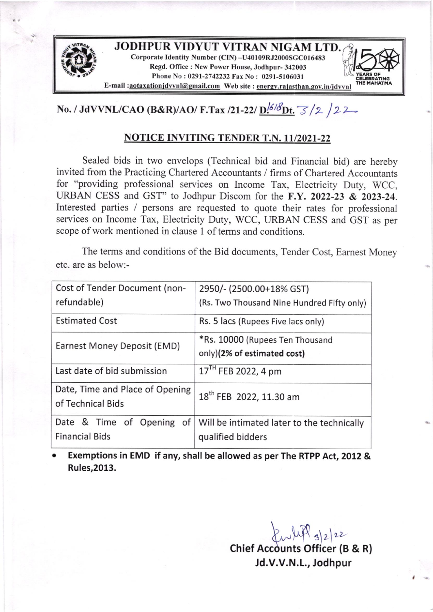

# No. / JdVVNL/CAO (B&R)/AO/ F.Tax /21-22/  $\underline{D}^{16/8}\underline{Dt}$ .  $\frac{1}{3}$  /2 /2 2

## **NOTICE INVITING TENDER T.N. 11/2021-22**

Sealed bids in two envelops (Technical bid and Financial bid) are hereby invited from the Practicing Chartered Accountants / firms of Chartered Accountants for "providing professional services on Income Tax, Electricity Duty, WCC, URBAN CESS and GST" to Jodhpur Discom for the F.Y. 2022-23 & 2023-24. Interested parties / persons are requested to quote their rates for professional services on Income Tax, Electricity Duty, WCC, URBAN CESS and GST as per scope of work mentioned in clause I of terms and conditions.

The terms and conditions of the Bid documents, Tender Cost, Eamest Money etc. are as below:-

| Cost of Tender Document (non-                        | 2950/- (2500.00+18% GST)                   |
|------------------------------------------------------|--------------------------------------------|
| refundable)                                          | (Rs. Two Thousand Nine Hundred Fifty only) |
| <b>Estimated Cost</b>                                | Rs. 5 lacs (Rupees Five lacs only)         |
| Earnest Money Deposit (EMD)                          | *Rs. 10000 (Rupees Ten Thousand            |
|                                                      | only)(2% of estimated cost)                |
| Last date of bid submission                          | 17 <sup>TH</sup> FEB 2022, 4 pm            |
| Date, Time and Place of Opening<br>of Technical Bids | 18 <sup>th</sup> FEB 2022, 11.30 am        |
| Date & Time of Opening of                            | Will be intimated later to the technically |
| <b>Financial Bids</b>                                | qualified bidders                          |

Exemptions in EMD if any, shall be allowed as per The RTPP Act, 2012 & Rules,2013. a

> $k\sqrt{4P_{s}}$ Chief Accounts Officer (B & R) Jd.V.V.N.L., Jodhpur